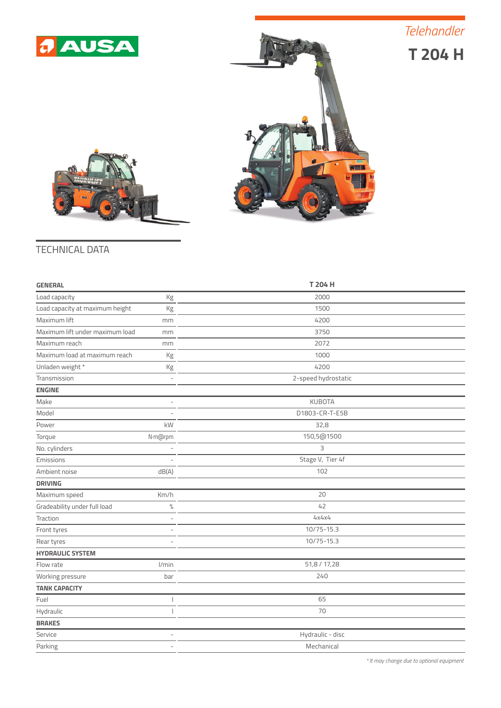

## *Telehandler*

**T 204 H**





## TECHNICAL DATA

| <b>GENERAL</b>                  |                          | T 204 H             |
|---------------------------------|--------------------------|---------------------|
| Load capacity                   | Kg                       | 2000                |
| Load capacity at maximum height | Kg                       | 1500                |
| Maximum lift                    | mm                       | 4200                |
| Maximum lift under maximum load | mm                       | 3750                |
| Maximum reach                   | mm                       | 2072                |
| Maximum load at maximum reach   | Kg                       | 1000                |
| Unladen weight *                | Кg                       | 4200                |
| Transmission                    | Ĭ.                       | 2-speed hydrostatic |
| <b>ENGINE</b>                   |                          |                     |
| Make                            | $\sim$                   | <b>KUBOTA</b>       |
| Model                           |                          | D1803-CR-T-E5B      |
| Power                           | kW                       | 32,8                |
| Torque                          | N·m@rpm                  | 150,5@1500          |
| No. cylinders                   |                          | 3                   |
| Emissions                       | ÷                        | Stage V, Tier 4f    |
| Ambient noise                   | dB(A)                    | 102                 |
| <b>DRIVING</b>                  |                          |                     |
| Maximum speed                   | Km/h                     | 20                  |
| Gradeability under full load    | $\%$                     | 42                  |
| Traction<br>L.                  |                          | 4x4x4               |
| Front tyres                     |                          | $10/75 - 15.3$      |
| Rear tyres                      | $\overline{\phantom{a}}$ | $10/75 - 15.3$      |
| <b>HYDRAULIC SYSTEM</b>         |                          |                     |
| Flow rate                       | 1/min                    | 51,8 / 17,28        |
| Working pressure                | bar                      | 240                 |
| <b>TANK CAPACITY</b>            |                          |                     |
| Fuel                            | $\overline{\phantom{a}}$ | 65                  |
| Hydraulic                       |                          | 70                  |
| <b>BRAKES</b>                   |                          |                     |
| Service                         | $\overline{\phantom{a}}$ | Hydraulic - disc    |
| Parking                         | ä,                       | Mechanical          |
|                                 |                          |                     |